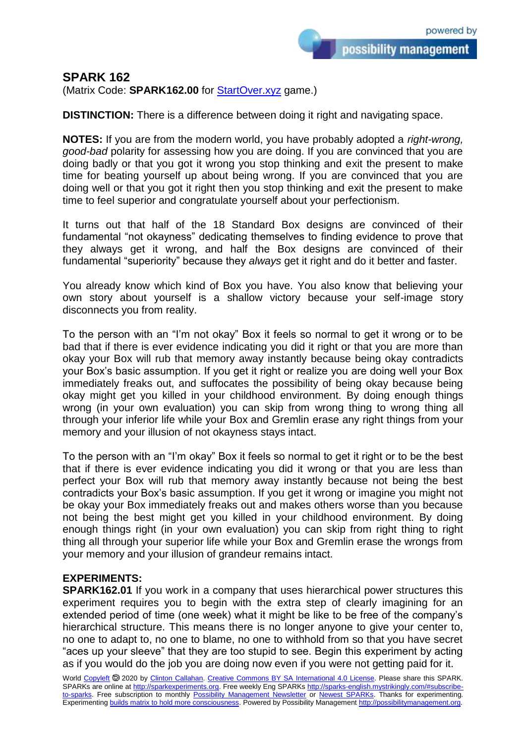possibility management

## **SPARK 162**

(Matrix Code: **SPARK162.00** for **StartOver.xyz** game.)

**DISTINCTION:** There is a difference between doing it right and navigating space.

**NOTES:** If you are from the modern world, you have probably adopted a *right-wrong, good-bad* polarity for assessing how you are doing. If you are convinced that you are doing badly or that you got it wrong you stop thinking and exit the present to make time for beating yourself up about being wrong. If you are convinced that you are doing well or that you got it right then you stop thinking and exit the present to make time to feel superior and congratulate yourself about your perfectionism.

It turns out that half of the 18 Standard Box designs are convinced of their fundamental "not okayness" dedicating themselves to finding evidence to prove that they always get it wrong, and half the Box designs are convinced of their fundamental "superiority" because they *always* get it right and do it better and faster.

You already know which kind of Box you have. You also know that believing your own story about yourself is a shallow victory because your self-image story disconnects you from reality.

To the person with an "I'm not okay" Box it feels so normal to get it wrong or to be bad that if there is ever evidence indicating you did it right or that you are more than okay your Box will rub that memory away instantly because being okay contradicts your Box's basic assumption. If you get it right or realize you are doing well your Box immediately freaks out, and suffocates the possibility of being okay because being okay might get you killed in your childhood environment. By doing enough things wrong (in your own evaluation) you can skip from wrong thing to wrong thing all through your inferior life while your Box and Gremlin erase any right things from your memory and your illusion of not okayness stays intact.

To the person with an "I'm okay" Box it feels so normal to get it right or to be the best that if there is ever evidence indicating you did it wrong or that you are less than perfect your Box will rub that memory away instantly because not being the best contradicts your Box's basic assumption. If you get it wrong or imagine you might not be okay your Box immediately freaks out and makes others worse than you because not being the best might get you killed in your childhood environment. By doing enough things right (in your own evaluation) you can skip from right thing to right thing all through your superior life while your Box and Gremlin erase the wrongs from your memory and your illusion of grandeur remains intact.

## **EXPERIMENTS:**

**SPARK162.01** If you work in a company that uses hierarchical power structures this experiment requires you to begin with the extra step of clearly imagining for an extended period of time (one week) what it might be like to be free of the company's hierarchical structure. This means there is no longer anyone to give your center to, no one to adapt to, no one to blame, no one to withhold from so that you have secret "aces up your sleeve" that they are too stupid to see. Begin this experiment by acting as if you would do the job you are doing now even if you were not getting paid for it.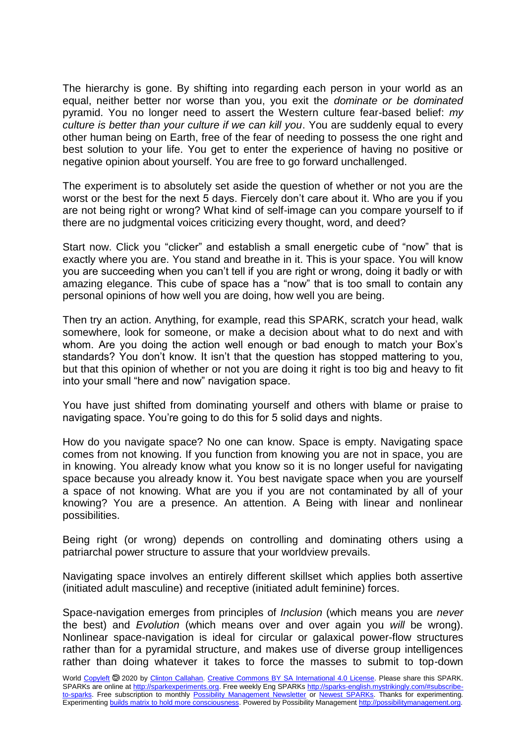The hierarchy is gone. By shifting into regarding each person in your world as an equal, neither better nor worse than you, you exit the *dominate or be dominated* pyramid. You no longer need to assert the Western culture fear-based belief: *my culture is better than your culture if we can kill you*. You are suddenly equal to every other human being on Earth, free of the fear of needing to possess the one right and best solution to your life. You get to enter the experience of having no positive or negative opinion about yourself. You are free to go forward unchallenged.

The experiment is to absolutely set aside the question of whether or not you are the worst or the best for the next 5 days. Fiercely don't care about it. Who are you if you are not being right or wrong? What kind of self-image can you compare yourself to if there are no judgmental voices criticizing every thought, word, and deed?

Start now. Click you "clicker" and establish a small energetic cube of "now" that is exactly where you are. You stand and breathe in it. This is your space. You will know you are succeeding when you can't tell if you are right or wrong, doing it badly or with amazing elegance. This cube of space has a "now" that is too small to contain any personal opinions of how well you are doing, how well you are being.

Then try an action. Anything, for example, read this SPARK, scratch your head, walk somewhere, look for someone, or make a decision about what to do next and with whom. Are you doing the action well enough or bad enough to match your Box's standards? You don't know. It isn't that the question has stopped mattering to you, but that this opinion of whether or not you are doing it right is too big and heavy to fit into your small "here and now" navigation space.

You have just shifted from dominating yourself and others with blame or praise to navigating space. You're going to do this for 5 solid days and nights.

How do you navigate space? No one can know. Space is empty. Navigating space comes from not knowing. If you function from knowing you are not in space, you are in knowing. You already know what you know so it is no longer useful for navigating space because you already know it. You best navigate space when you are yourself a space of not knowing. What are you if you are not contaminated by all of your knowing? You are a presence. An attention. A Being with linear and nonlinear possibilities.

Being right (or wrong) depends on controlling and dominating others using a patriarchal power structure to assure that your worldview prevails.

Navigating space involves an entirely different skillset which applies both assertive (initiated adult masculine) and receptive (initiated adult feminine) forces.

Space-navigation emerges from principles of *Inclusion* (which means you are *never* the best) and *Evolution* (which means over and over again you *will* be wrong). Nonlinear space-navigation is ideal for circular or galaxical power-flow structures rather than for a pyramidal structure, and makes use of diverse group intelligences rather than doing whatever it takes to force the masses to submit to top-down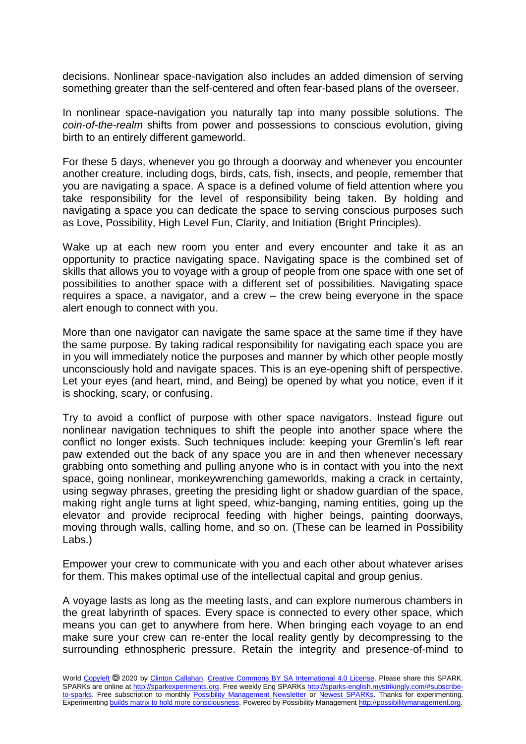decisions. Nonlinear space-navigation also includes an added dimension of serving something greater than the self-centered and often fear-based plans of the overseer.

In nonlinear space-navigation you naturally tap into many possible solutions. The *coin-of-the-realm* shifts from power and possessions to conscious evolution, giving birth to an entirely different gameworld.

For these 5 days, whenever you go through a doorway and whenever you encounter another creature, including dogs, birds, cats, fish, insects, and people, remember that you are navigating a space. A space is a defined volume of field attention where you take responsibility for the level of responsibility being taken. By holding and navigating a space you can dedicate the space to serving conscious purposes such as Love, Possibility, High Level Fun, Clarity, and Initiation (Bright Principles).

Wake up at each new room you enter and every encounter and take it as an opportunity to practice navigating space. Navigating space is the combined set of skills that allows you to voyage with a group of people from one space with one set of possibilities to another space with a different set of possibilities. Navigating space requires a space, a navigator, and a crew – the crew being everyone in the space alert enough to connect with you.

More than one navigator can navigate the same space at the same time if they have the same purpose. By taking radical responsibility for navigating each space you are in you will immediately notice the purposes and manner by which other people mostly unconsciously hold and navigate spaces. This is an eye-opening shift of perspective. Let your eyes (and heart, mind, and Being) be opened by what you notice, even if it is shocking, scary, or confusing.

Try to avoid a conflict of purpose with other space navigators. Instead figure out nonlinear navigation techniques to shift the people into another space where the conflict no longer exists. Such techniques include: keeping your Gremlin's left rear paw extended out the back of any space you are in and then whenever necessary grabbing onto something and pulling anyone who is in contact with you into the next space, going nonlinear, monkeywrenching gameworlds, making a crack in certainty, using segway phrases, greeting the presiding light or shadow guardian of the space, making right angle turns at light speed, whiz-banging, naming entities, going up the elevator and provide reciprocal feeding with higher beings, painting doorways, moving through walls, calling home, and so on. (These can be learned in Possibility Labs.)

Empower your crew to communicate with you and each other about whatever arises for them. This makes optimal use of the intellectual capital and group genius.

A voyage lasts as long as the meeting lasts, and can explore numerous chambers in the great labyrinth of spaces. Every space is connected to every other space, which means you can get to anywhere from here. When bringing each voyage to an end make sure your crew can re-enter the local reality gently by decompressing to the surrounding ethnospheric pressure. Retain the integrity and presence-of-mind to